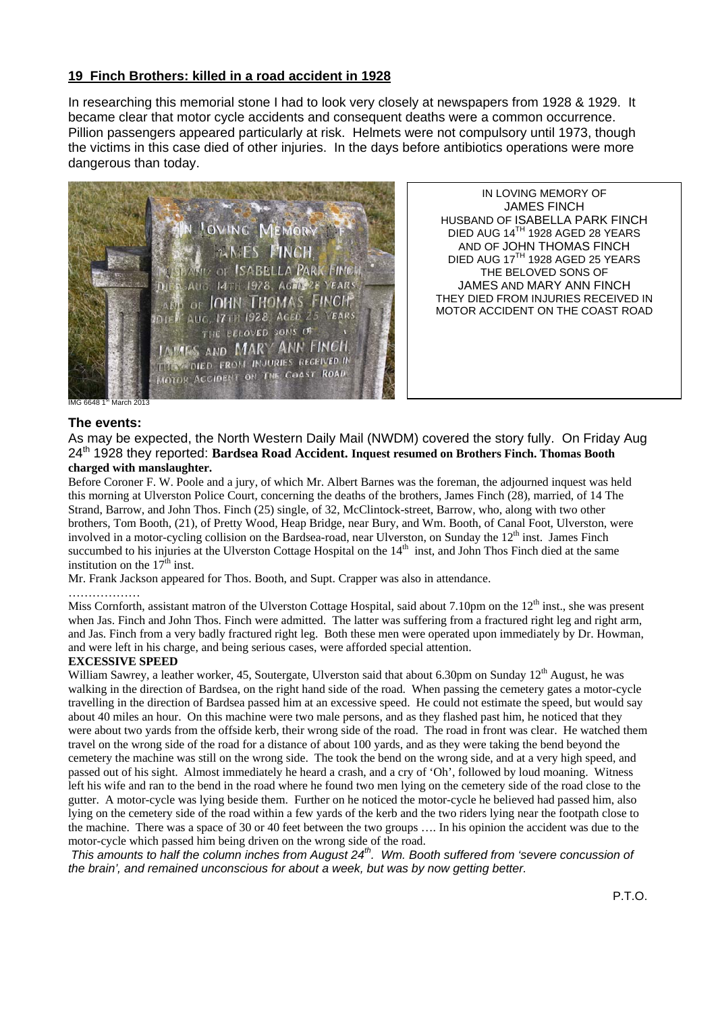## **19 Finch Brothers: killed in a road accident in 1928**

In researching this memorial stone I had to look very closely at newspapers from 1928 & 1929. It became clear that motor cycle accidents and consequent deaths were a common occurrence. Pillion passengers appeared particularly at risk. Helmets were not compulsory until 1973, though the victims in this case died of other injuries. In the days before antibiotics operations were more dangerous than today.



IN LOVING MEMORY OF JAMES FINCH HUSBAND OF ISABELLA PARK FINCH DIED AUG 14<sup>TH</sup> 1928 AGED 28 YEARS AND OF JOHN THOMAS FINCH DIED AUG 17TH 1928 AGED 25 YEARS THE BELOVED SONS OF JAMES AND MARY ANN FINCH THEY DIED FROM INJURIES RECEIVED IN MOTOR ACCIDENT ON THE COAST ROAD

### **The events:**

As may be expected, the North Western Daily Mail (NWDM) covered the story fully. On Friday Aug 24th 1928 they reported: **Bardsea Road Accident. Inquest resumed on Brothers Finch. Thomas Booth charged with manslaughter.** 

Before Coroner F. W. Poole and a jury, of which Mr. Albert Barnes was the foreman, the adjourned inquest was held this morning at Ulverston Police Court, concerning the deaths of the brothers, James Finch (28), married, of 14 The Strand, Barrow, and John Thos. Finch (25) single, of 32, McClintock-street, Barrow, who, along with two other brothers, Tom Booth, (21), of Pretty Wood, Heap Bridge, near Bury, and Wm. Booth, of Canal Foot, Ulverston, were involved in a motor-cycling collision on the Bardsea-road, near Ulverston, on Sunday the 12<sup>th</sup> inst. James Finch succumbed to his injuries at the Ulverston Cottage Hospital on the 14<sup>th</sup> inst, and John Thos Finch died at the same institution on the  $17<sup>th</sup>$  inst.

Mr. Frank Jackson appeared for Thos. Booth, and Supt. Crapper was also in attendance.

#### …………………

Miss Cornforth, assistant matron of the Ulverston Cottage Hospital, said about 7.10pm on the  $12<sup>th</sup>$  inst., she was present when Jas. Finch and John Thos. Finch were admitted. The latter was suffering from a fractured right leg and right arm, and Jas. Finch from a very badly fractured right leg. Both these men were operated upon immediately by Dr. Howman, and were left in his charge, and being serious cases, were afforded special attention.

#### **EXCESSIVE SPEED**

William Sawrey, a leather worker, 45, Soutergate, Ulverston said that about 6.30pm on Sunday 12<sup>th</sup> August, he was walking in the direction of Bardsea, on the right hand side of the road. When passing the cemetery gates a motor-cycle travelling in the direction of Bardsea passed him at an excessive speed. He could not estimate the speed, but would say about 40 miles an hour. On this machine were two male persons, and as they flashed past him, he noticed that they were about two yards from the offside kerb, their wrong side of the road. The road in front was clear. He watched them travel on the wrong side of the road for a distance of about 100 yards, and as they were taking the bend beyond the cemetery the machine was still on the wrong side. The took the bend on the wrong side, and at a very high speed, and passed out of his sight. Almost immediately he heard a crash, and a cry of 'Oh', followed by loud moaning. Witness left his wife and ran to the bend in the road where he found two men lying on the cemetery side of the road close to the gutter. A motor-cycle was lying beside them. Further on he noticed the motor-cycle he believed had passed him, also lying on the cemetery side of the road within a few yards of the kerb and the two riders lying near the footpath close to the machine. There was a space of 30 or 40 feet between the two groups …. In his opinion the accident was due to the motor-cycle which passed him being driven on the wrong side of the road.

*This amounts to half the column inches from August 24th. Wm. Booth suffered from 'severe concussion of the brain', and remained unconscious for about a week, but was by now getting better.*